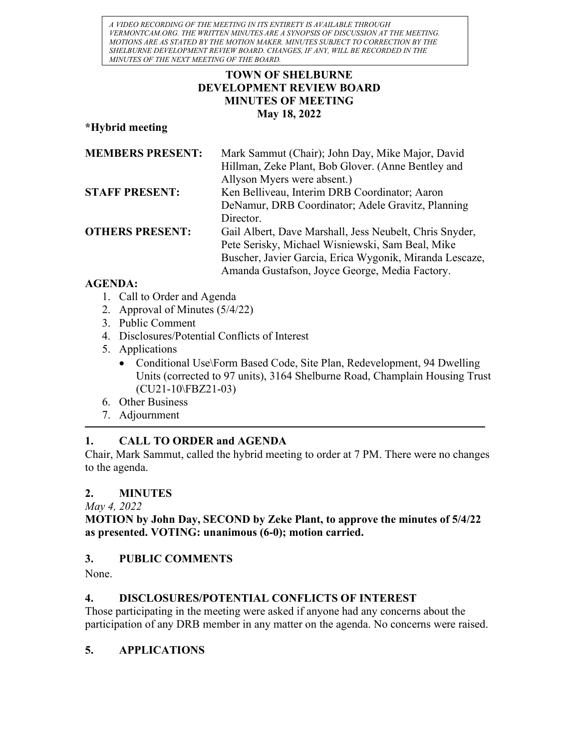A VIDEO RECORDING OF THE MEETING IN ITS ENTIRETY IS AVAILABLE THROUGH VERMONTCAM.ORG. THE WRITTEN MINUTES ARE A SYNOPSIS OF DISCUSSION AT THE MEETING. MOTIONS ARE AS STATED BY THE MOTION MAKER. MINUTES SUBJECT TO CORRECTION BY THE SHELBURNE DEVELOPMENT REVIEW BOARD. CHANGES, IF ANY, WILL BE RECORDED IN THE MINUTES OF THE NEXT MEETING OF THE BOARD.

### TOWN OF SHELBURNE DEVELOPMENT REVIEW BOARD MINUTES OF MEETING May 18, 2022

\*Hybrid meeting

| <b>MEMBERS PRESENT:</b> | Mark Sammut (Chair); John Day, Mike Major, David        |
|-------------------------|---------------------------------------------------------|
|                         | Hillman, Zeke Plant, Bob Glover. (Anne Bentley and      |
|                         | Allyson Myers were absent.)                             |
| <b>STAFF PRESENT:</b>   | Ken Belliveau, Interim DRB Coordinator; Aaron           |
|                         | DeNamur, DRB Coordinator; Adele Gravitz, Planning       |
|                         | Director.                                               |
| <b>OTHERS PRESENT:</b>  | Gail Albert, Dave Marshall, Jess Neubelt, Chris Snyder, |
|                         | Pete Serisky, Michael Wisniewski, Sam Beal, Mike        |
|                         | Buscher, Javier Garcia, Erica Wygonik, Miranda Lescaze, |
|                         | Amanda Gustafson, Joyce George, Media Factory.          |

### AGENDA:

- 1. Call to Order and Agenda
- 2. Approval of Minutes (5/4/22)
- 3. Public Comment
- 4. Disclosures/Potential Conflicts of Interest
- 5. Applications
	- Conditional Use\Form Based Code, Site Plan, Redevelopment, 94 Dwelling Units (corrected to 97 units), 3164 Shelburne Road, Champlain Housing Trust (CU21-10\FBZ21-03)
- 6. Other Business
- 7. Adjournment

## 1. CALL TO ORDER and AGENDA

Chair, Mark Sammut, called the hybrid meeting to order at 7 PM. There were no changes to the agenda.

## 2. MINUTES

May 4, 2022

MOTION by John Day, SECOND by Zeke Plant, to approve the minutes of 5/4/22 as presented. VOTING: unanimous (6-0); motion carried.

## 3. PUBLIC COMMENTS

None.

# 4. DISCLOSURES/POTENTIAL CONFLICTS OF INTEREST

Those participating in the meeting were asked if anyone had any concerns about the participation of any DRB member in any matter on the agenda. No concerns were raised.

# 5. APPLICATIONS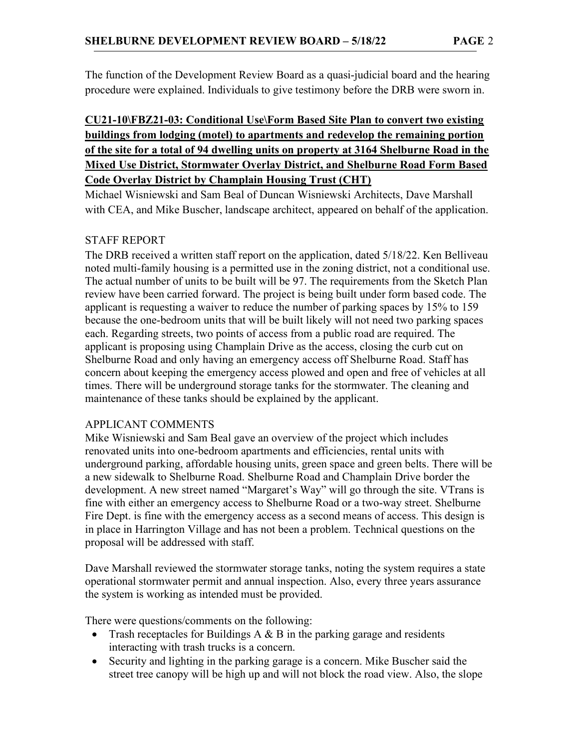The function of the Development Review Board as a quasi-judicial board and the hearing procedure were explained. Individuals to give testimony before the DRB were sworn in.

## CU21-10\FBZ21-03: Conditional Use\Form Based Site Plan to convert two existing buildings from lodging (motel) to apartments and redevelop the remaining portion of the site for a total of 94 dwelling units on property at 3164 Shelburne Road in the Mixed Use District, Stormwater Overlay District, and Shelburne Road Form Based Code Overlay District by Champlain Housing Trust (CHT)

Michael Wisniewski and Sam Beal of Duncan Wisniewski Architects, Dave Marshall with CEA, and Mike Buscher, landscape architect, appeared on behalf of the application.

#### STAFF REPORT

The DRB received a written staff report on the application, dated 5/18/22. Ken Belliveau noted multi-family housing is a permitted use in the zoning district, not a conditional use. The actual number of units to be built will be 97. The requirements from the Sketch Plan review have been carried forward. The project is being built under form based code. The applicant is requesting a waiver to reduce the number of parking spaces by 15% to 159 because the one-bedroom units that will be built likely will not need two parking spaces each. Regarding streets, two points of access from a public road are required. The applicant is proposing using Champlain Drive as the access, closing the curb cut on Shelburne Road and only having an emergency access off Shelburne Road. Staff has concern about keeping the emergency access plowed and open and free of vehicles at all times. There will be underground storage tanks for the stormwater. The cleaning and maintenance of these tanks should be explained by the applicant.

#### APPLICANT COMMENTS

Mike Wisniewski and Sam Beal gave an overview of the project which includes renovated units into one-bedroom apartments and efficiencies, rental units with underground parking, affordable housing units, green space and green belts. There will be a new sidewalk to Shelburne Road. Shelburne Road and Champlain Drive border the development. A new street named "Margaret's Way" will go through the site. VTrans is fine with either an emergency access to Shelburne Road or a two-way street. Shelburne Fire Dept. is fine with the emergency access as a second means of access. This design is in place in Harrington Village and has not been a problem. Technical questions on the proposal will be addressed with staff.

Dave Marshall reviewed the stormwater storage tanks, noting the system requires a state operational stormwater permit and annual inspection. Also, every three years assurance the system is working as intended must be provided.

There were questions/comments on the following:

- Trash receptacles for Buildings A  $\&$  B in the parking garage and residents interacting with trash trucks is a concern.
- Security and lighting in the parking garage is a concern. Mike Buscher said the street tree canopy will be high up and will not block the road view. Also, the slope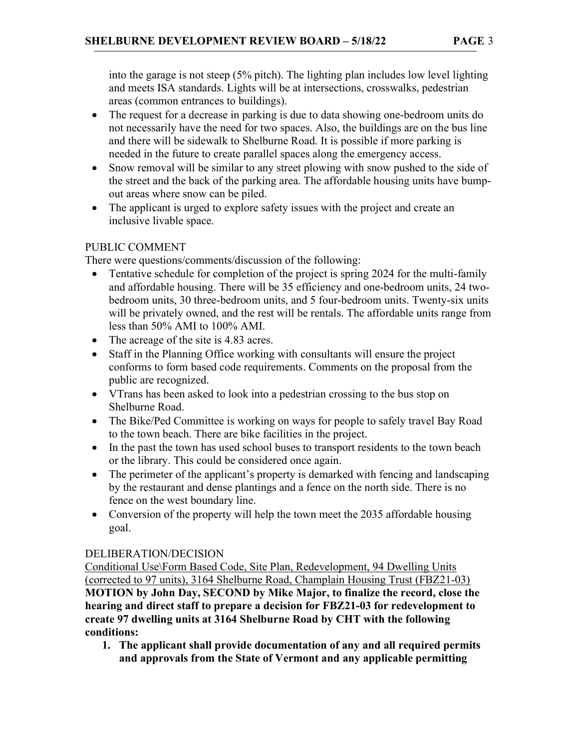into the garage is not steep (5% pitch). The lighting plan includes low level lighting and meets ISA standards. Lights will be at intersections, crosswalks, pedestrian areas (common entrances to buildings).

- The request for a decrease in parking is due to data showing one-bedroom units do not necessarily have the need for two spaces. Also, the buildings are on the bus line and there will be sidewalk to Shelburne Road. It is possible if more parking is needed in the future to create parallel spaces along the emergency access.
- Snow removal will be similar to any street plowing with snow pushed to the side of the street and the back of the parking area. The affordable housing units have bumpout areas where snow can be piled.
- The applicant is urged to explore safety issues with the project and create an inclusive livable space.

### PUBLIC COMMENT

There were questions/comments/discussion of the following:

- Tentative schedule for completion of the project is spring 2024 for the multi-family and affordable housing. There will be 35 efficiency and one-bedroom units, 24 twobedroom units, 30 three-bedroom units, and 5 four-bedroom units. Twenty-six units will be privately owned, and the rest will be rentals. The affordable units range from less than 50% AMI to 100% AMI.
- The acreage of the site is 4.83 acres.
- Staff in the Planning Office working with consultants will ensure the project conforms to form based code requirements. Comments on the proposal from the public are recognized.
- VTrans has been asked to look into a pedestrian crossing to the bus stop on Shelburne Road.
- The Bike/Ped Committee is working on ways for people to safely travel Bay Road to the town beach. There are bike facilities in the project.
- In the past the town has used school buses to transport residents to the town beach or the library. This could be considered once again.
- The perimeter of the applicant's property is demarked with fencing and landscaping by the restaurant and dense plantings and a fence on the north side. There is no fence on the west boundary line.
- Conversion of the property will help the town meet the 2035 affordable housing goal.

## DELIBERATION/DECISION

Conditional Use\Form Based Code, Site Plan, Redevelopment, 94 Dwelling Units (corrected to 97 units), 3164 Shelburne Road, Champlain Housing Trust (FBZ21-03) MOTION by John Day, SECOND by Mike Major, to finalize the record, close the hearing and direct staff to prepare a decision for FBZ21-03 for redevelopment to create 97 dwelling units at 3164 Shelburne Road by CHT with the following conditions:

1. The applicant shall provide documentation of any and all required permits and approvals from the State of Vermont and any applicable permitting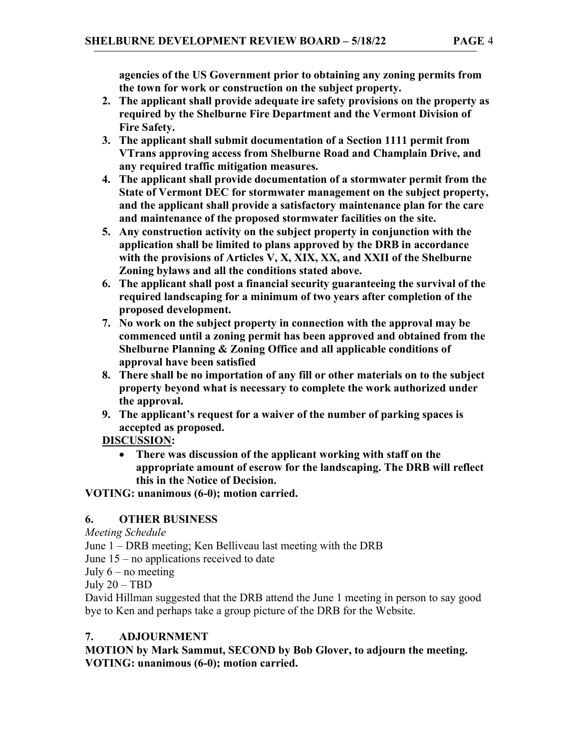agencies of the US Government prior to obtaining any zoning permits from the town for work or construction on the subject property.

- 2. The applicant shall provide adequate ire safety provisions on the property as required by the Shelburne Fire Department and the Vermont Division of Fire Safety.
- 3. The applicant shall submit documentation of a Section 1111 permit from VTrans approving access from Shelburne Road and Champlain Drive, and any required traffic mitigation measures.
- 4. The applicant shall provide documentation of a stormwater permit from the State of Vermont DEC for stormwater management on the subject property, and the applicant shall provide a satisfactory maintenance plan for the care and maintenance of the proposed stormwater facilities on the site.
- 5. Any construction activity on the subject property in conjunction with the application shall be limited to plans approved by the DRB in accordance with the provisions of Articles V, X, XIX, XX, and XXII of the Shelburne Zoning bylaws and all the conditions stated above.
- 6. The applicant shall post a financial security guaranteeing the survival of the required landscaping for a minimum of two years after completion of the proposed development.
- 7. No work on the subject property in connection with the approval may be commenced until a zoning permit has been approved and obtained from the Shelburne Planning & Zoning Office and all applicable conditions of approval have been satisfied
- 8. There shall be no importation of any fill or other materials on to the subject property beyond what is necessary to complete the work authorized under the approval.
- 9. The applicant's request for a waiver of the number of parking spaces is accepted as proposed.

DISCUSSION:

 There was discussion of the applicant working with staff on the appropriate amount of escrow for the landscaping. The DRB will reflect this in the Notice of Decision.

VOTING: unanimous (6-0); motion carried.

## 6. OTHER BUSINESS

Meeting Schedule

June 1 – DRB meeting; Ken Belliveau last meeting with the DRB

June 15 – no applications received to date

July  $6$  – no meeting

July 20 – TBD

David Hillman suggested that the DRB attend the June 1 meeting in person to say good bye to Ken and perhaps take a group picture of the DRB for the Website.

# 7. ADJOURNMENT

MOTION by Mark Sammut, SECOND by Bob Glover, to adjourn the meeting. VOTING: unanimous (6-0); motion carried.